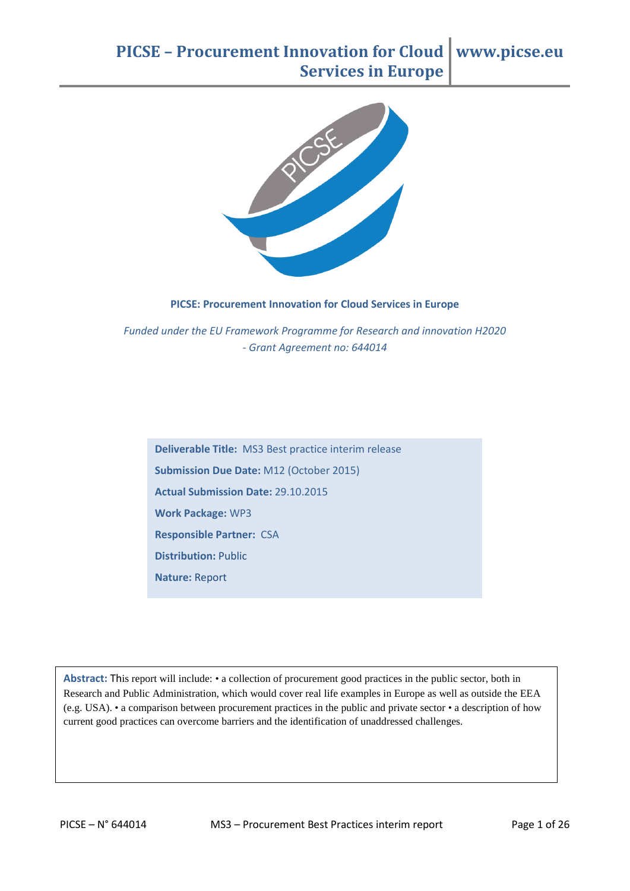

**PICSE: Procurement Innovation for Cloud Services in Europe**

*Funded under the EU Framework Programme for Research and innovation H2020 - Grant Agreement no: 644014*

**Deliverable Title:** MS3 Best practice interim release **Submission Due Date:** M12 (October 2015) **Actual Submission Date:** 29.10.2015 **Work Package:** WP3 **Responsible Partner:** CSA **Distribution:** Public **Nature:** Report

**Abstract:** This report will include: • a collection of procurement good practices in the public sector, both in Research and Public Administration, which would cover real life examples in Europe as well as outside the EEA (e.g. USA). • a comparison between procurement practices in the public and private sector • a description of how current good practices can overcome barriers and the identification of unaddressed challenges.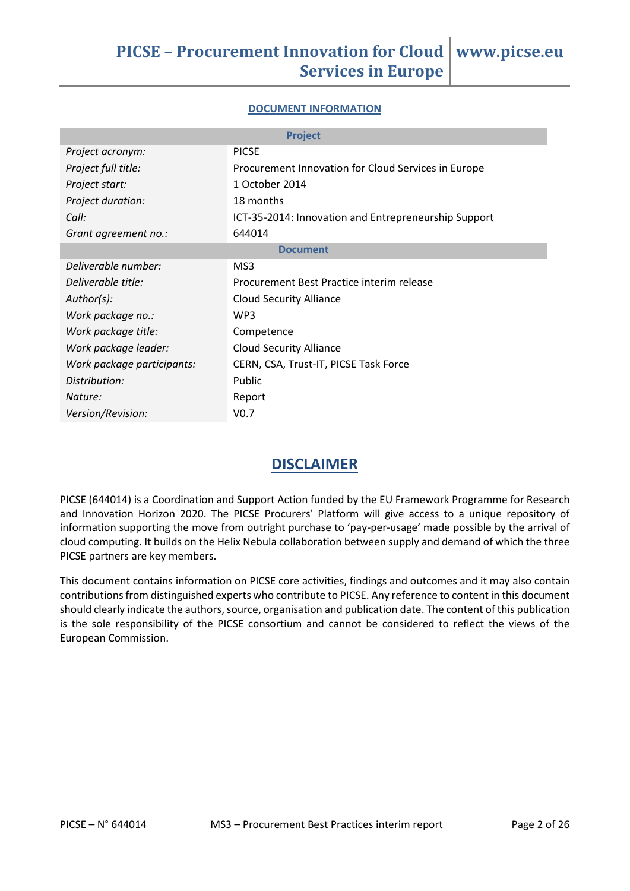#### **DOCUMENT INFORMATION**

| <b>Project</b>             |                                                      |  |  |  |
|----------------------------|------------------------------------------------------|--|--|--|
| Project acronym:           | <b>PICSE</b>                                         |  |  |  |
| Project full title:        | Procurement Innovation for Cloud Services in Europe  |  |  |  |
| Project start:             | 1 October 2014                                       |  |  |  |
| Project duration:          | 18 months                                            |  |  |  |
| Call:                      | ICT-35-2014: Innovation and Entrepreneurship Support |  |  |  |
| Grant agreement no.:       | 644014                                               |  |  |  |
| <b>Document</b>            |                                                      |  |  |  |
| Deliverable number:        | MS3                                                  |  |  |  |
| Deliverable title:         | Procurement Best Practice interim release            |  |  |  |
| Author(s):                 | <b>Cloud Security Alliance</b>                       |  |  |  |
| Work package no.:          | WP3                                                  |  |  |  |
| Work package title:        | Competence                                           |  |  |  |
| Work package leader:       | <b>Cloud Security Alliance</b>                       |  |  |  |
| Work package participants: | CERN, CSA, Trust-IT, PICSE Task Force                |  |  |  |
| Distribution:              | Public                                               |  |  |  |
| Nature:                    | Report                                               |  |  |  |
| Version/Revision:          | V <sub>0.7</sub>                                     |  |  |  |

## **DISCLAIMER**

PICSE (644014) is a Coordination and Support Action funded by the EU Framework Programme for Research and Innovation Horizon 2020. The PICSE Procurers' Platform will give access to a unique repository of information supporting the move from outright purchase to 'pay-per-usage' made possible by the arrival of cloud computing. It builds on the Helix Nebula collaboration between supply and demand of which the three PICSE partners are key members.

This document contains information on PICSE core activities, findings and outcomes and it may also contain contributions from distinguished experts who contribute to PICSE. Any reference to content in this document should clearly indicate the authors, source, organisation and publication date. The content of this publication is the sole responsibility of the PICSE consortium and cannot be considered to reflect the views of the European Commission.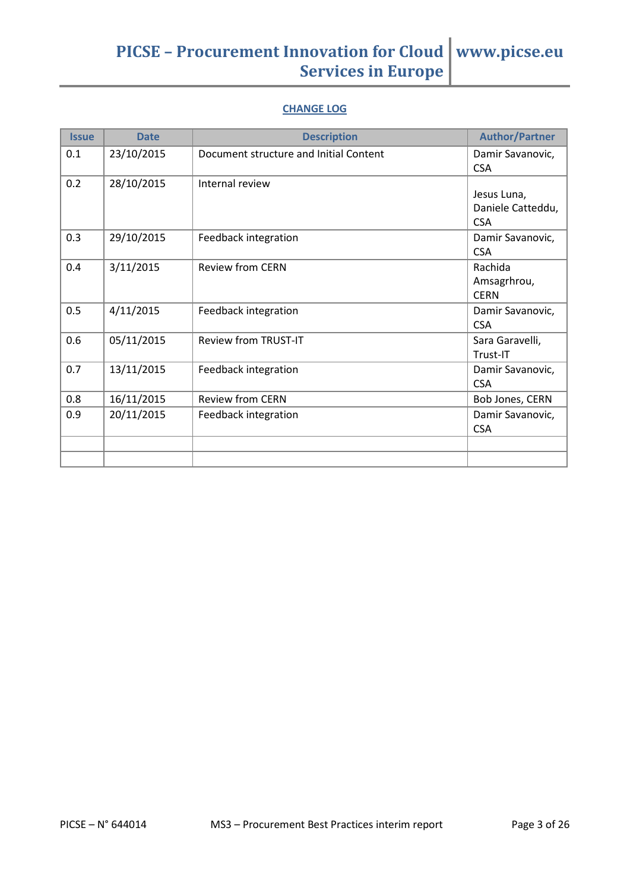#### **CHANGE LOG**

| <b>Issue</b> | <b>Date</b> | <b>Description</b>                     | <b>Author/Partner</b>                          |
|--------------|-------------|----------------------------------------|------------------------------------------------|
| 0.1          | 23/10/2015  | Document structure and Initial Content | Damir Savanovic,<br><b>CSA</b>                 |
| 0.2          | 28/10/2015  | Internal review                        | Jesus Luna,<br>Daniele Catteddu,<br><b>CSA</b> |
| 0.3          | 29/10/2015  | Feedback integration                   | Damir Savanovic,<br><b>CSA</b>                 |
| 0.4          | 3/11/2015   | <b>Review from CERN</b>                | Rachida<br>Amsagrhrou,<br><b>CERN</b>          |
| 0.5          | 4/11/2015   | Feedback integration                   | Damir Savanovic,<br><b>CSA</b>                 |
| 0.6          | 05/11/2015  | <b>Review from TRUST-IT</b>            | Sara Garavelli,<br>Trust-IT                    |
| 0.7          | 13/11/2015  | Feedback integration                   | Damir Savanovic,<br><b>CSA</b>                 |
| 0.8          | 16/11/2015  | <b>Review from CERN</b>                | Bob Jones, CERN                                |
| 0.9          | 20/11/2015  | Feedback integration                   | Damir Savanovic,<br><b>CSA</b>                 |
|              |             |                                        |                                                |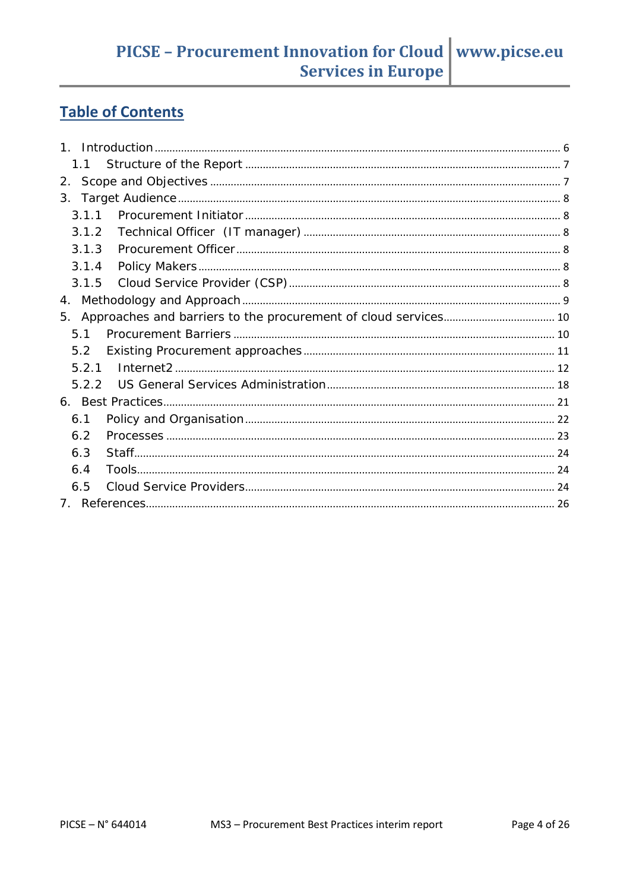# **Table of Contents**

| 1.1   |  |
|-------|--|
| 2.    |  |
| 3.    |  |
| 3.1.1 |  |
| 3.1.2 |  |
| 3.1.3 |  |
| 3.1.4 |  |
| 3.1.5 |  |
| 4.    |  |
|       |  |
| 51    |  |
| 5.2   |  |
| 5.2.1 |  |
| 5.2.2 |  |
|       |  |
| 6.1   |  |
| 6.2   |  |
| 6.3   |  |
| 6.4   |  |
| 6.5   |  |
|       |  |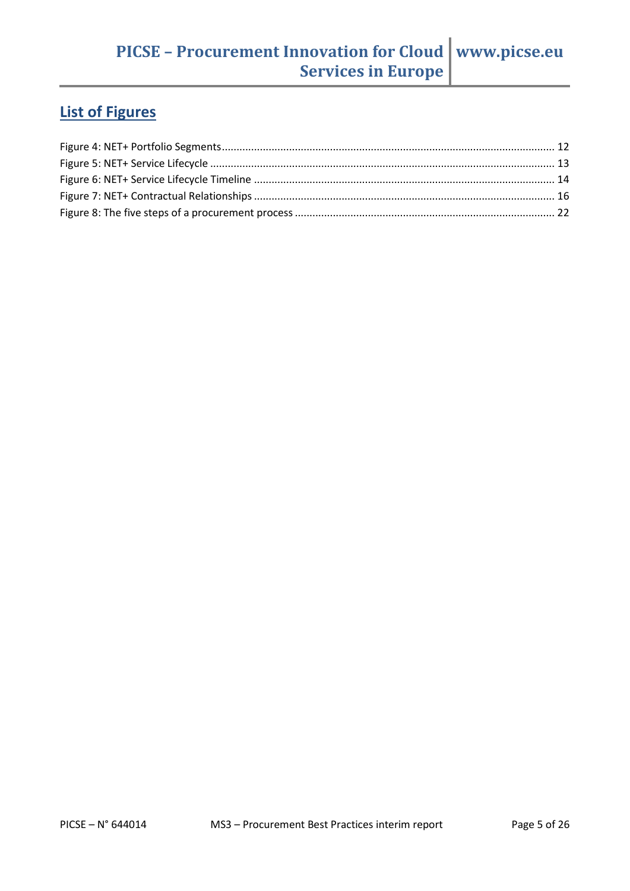# **List of Figures**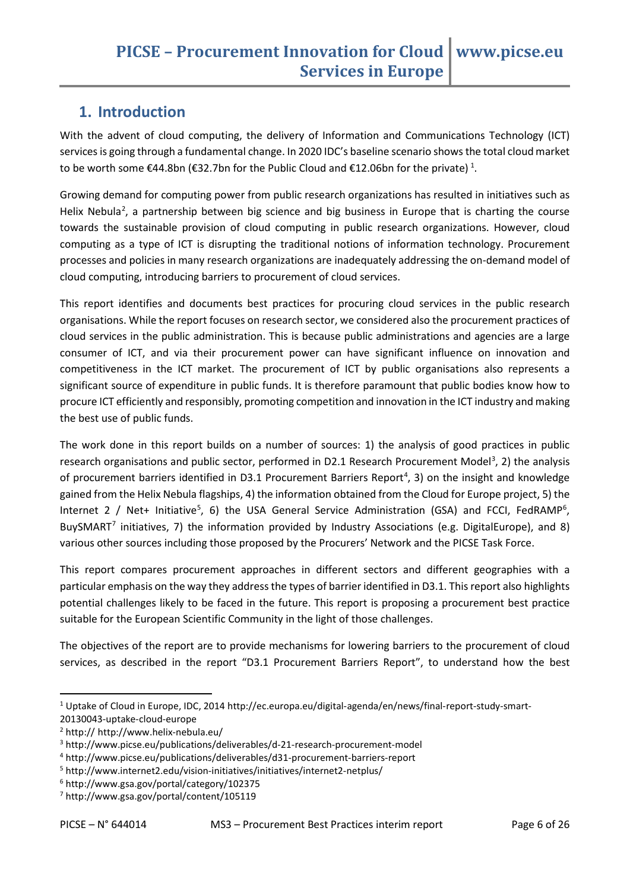# <span id="page-5-0"></span>**1. Introduction**

With the advent of cloud computing, the delivery of Information and Communications Technology (ICT) services is going through a fundamental change. In 2020 IDC's baseline scenario shows the total cloud market to be worth some €44.8bn (€32.7bn for the Public Cloud and €[1](#page-5-1)2.06bn for the private)<sup>1</sup>.

Growing demand for computing power from public research organizations has resulted in initiatives such as Helix Nebula<sup>[2](#page-5-2)</sup>, a partnership between big science and big business in Europe that is charting the course towards the sustainable provision of cloud computing in public research organizations. However, cloud computing as a type of ICT is disrupting the traditional notions of information technology. Procurement processes and policies in many research organizations are inadequately addressing the on-demand model of cloud computing, introducing barriers to procurement of cloud services.

This report identifies and documents best practices for procuring cloud services in the public research organisations. While the report focuses on research sector, we considered also the procurement practices of cloud services in the public administration. This is because public administrations and agencies are a large consumer of ICT, and via their procurement power can have significant influence on innovation and competitiveness in the ICT market. The procurement of ICT by public organisations also represents a significant source of expenditure in public funds. It is therefore paramount that public bodies know how to procure ICT efficiently and responsibly, promoting competition and innovation in the ICT industry and making the best use of public funds.

The work done in this report builds on a number of sources: 1) the analysis of good practices in public research organisations and public sector, performed in D2.1 Research Procurement Model<sup>[3](#page-5-3)</sup>, 2) the analysis of procurement barriers identified in D3.1 Procurement Barriers Report<sup>[4](#page-5-4)</sup>, 3) on the insight and knowledge gained from the Helix Nebula flagships, 4) the information obtained from the Cloud for Europe project, 5) the Internet 2 / Net+ Initiative<sup>[5](#page-5-5)</sup>, [6](#page-5-6)) the USA General Service Administration (GSA) and FCCI, FedRAMP<sup>6</sup>, BuySMART[7](#page-5-7) initiatives, 7) the information provided by Industry Associations (e.g. DigitalEurope), and 8) various other sources including those proposed by the Procurers' Network and the PICSE Task Force.

This report compares procurement approaches in different sectors and different geographies with a particular emphasis on the way they address the types of barrier identified in D3.1. This report also highlights potential challenges likely to be faced in the future. This report is proposing a procurement best practice suitable for the European Scientific Community in the light of those challenges.

The objectives of the report are to provide mechanisms for lowering barriers to the procurement of cloud services, as described in the report "D3.1 Procurement Barriers Report", to understand how the best

<span id="page-5-1"></span> <sup>1</sup> Uptake of Cloud in Europe, IDC, 2014 http://ec.europa.eu/digital-agenda/en/news/final-report-study-smart-

<sup>20130043-</sup>uptake-cloud-europe 2 http:// http://www.helix-nebula.eu/

<span id="page-5-3"></span><span id="page-5-2"></span><sup>3</sup> http://www.picse.eu/publications/deliverables/d-21-research-procurement-model

<span id="page-5-4"></span><sup>4</sup> http://www.picse.eu/publications/deliverables/d31-procurement-barriers-report

<span id="page-5-5"></span><sup>5</sup> http://www.internet2.edu/vision-initiatives/initiatives/internet2-netplus/

<span id="page-5-6"></span><sup>6</sup> http://www.gsa.gov/portal/category/102375

<span id="page-5-7"></span><sup>7</sup> http://www.gsa.gov/portal/content/105119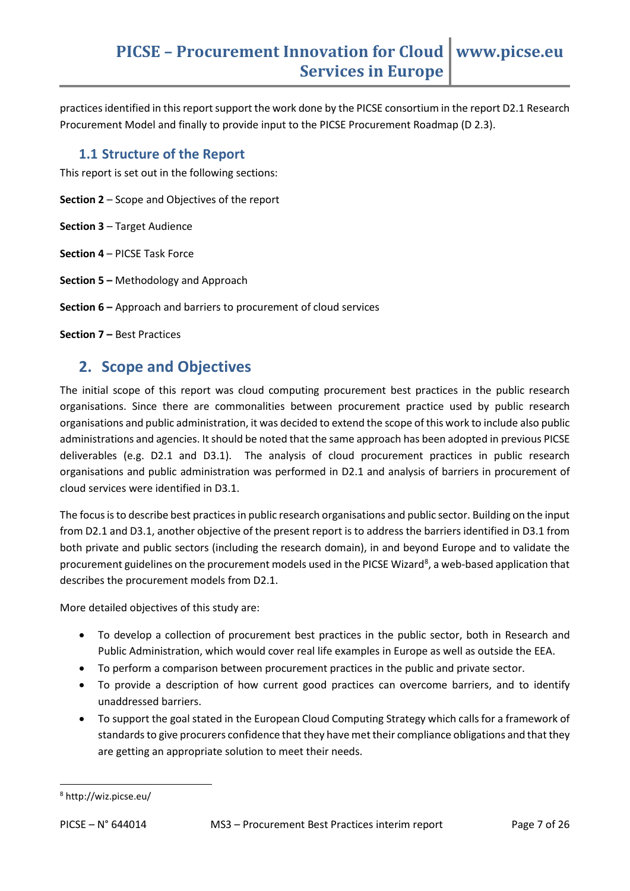practices identified in this report support the work done by the PICSE consortium in the report D2.1 Research Procurement Model and finally to provide input to the PICSE Procurement Roadmap (D 2.3).

## <span id="page-6-0"></span>**1.1 Structure of the Report**

This report is set out in the following sections:

- **Section 2** Scope and Objectives of the report
- **Section 3** Target Audience
- **Section 4** PICSE Task Force
- **Section 5 –** Methodology and Approach
- **Section 6 –** Approach and barriers to procurement of cloud services

**Section 7 –** Best Practices

## <span id="page-6-1"></span>**2. Scope and Objectives**

The initial scope of this report was cloud computing procurement best practices in the public research organisations. Since there are commonalities between procurement practice used by public research organisations and public administration, it was decided to extend the scope of this work to include also public administrations and agencies. It should be noted that the same approach has been adopted in previous PICSE deliverables (e.g. D2.1 and D3.1). The analysis of cloud procurement practices in public research organisations and public administration was performed in D2.1 and analysis of barriers in procurement of cloud services were identified in D3.1.

The focus is to describe best practices in public research organisations and public sector. Building on the input from D2.1 and D3.1, another objective of the present report is to address the barriers identified in D3.1 from both private and public sectors (including the research domain), in and beyond Europe and to validate the procurement guidelines on the procurement models used in the PICSE Wizard<sup>8</sup>, a web-based application that describes the procurement models from D2.1.

More detailed objectives of this study are:

- To develop a collection of procurement best practices in the public sector, both in Research and Public Administration, which would cover real life examples in Europe as well as outside the EEA.
- To perform a comparison between procurement practices in the public and private sector.
- To provide a description of how current good practices can overcome barriers, and to identify unaddressed barriers.
- To support the goal stated in the European Cloud Computing Strategy which calls for a framework of standards to give procurers confidence that they have met their compliance obligations and that they are getting an appropriate solution to meet their needs.

<span id="page-6-2"></span> <sup>8</sup> http://wiz.picse.eu/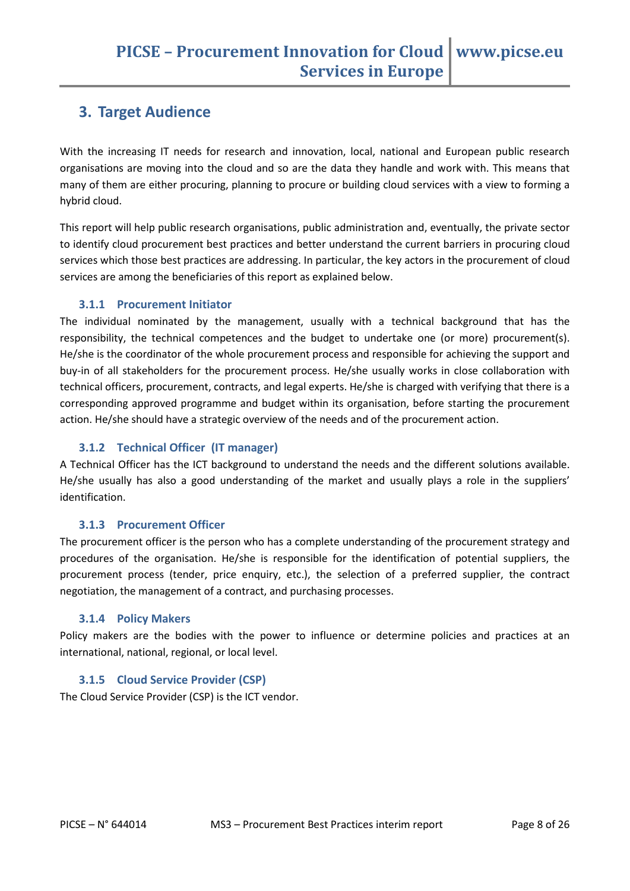# <span id="page-7-0"></span>**3. Target Audience**

With the increasing IT needs for research and innovation, local, national and European public research organisations are moving into the cloud and so are the data they handle and work with. This means that many of them are either procuring, planning to procure or building cloud services with a view to forming a hybrid cloud.

This report will help public research organisations, public administration and, eventually, the private sector to identify cloud procurement best practices and better understand the current barriers in procuring cloud services which those best practices are addressing. In particular, the key actors in the procurement of cloud services are among the beneficiaries of this report as explained below.

## **3.1.1 Procurement Initiator**

<span id="page-7-1"></span>The individual nominated by the management, usually with a technical background that has the responsibility, the technical competences and the budget to undertake one (or more) procurement(s). He/she is the coordinator of the whole procurement process and responsible for achieving the support and buy-in of all stakeholders for the procurement process. He/she usually works in close collaboration with technical officers, procurement, contracts, and legal experts. He/she is charged with verifying that there is a corresponding approved programme and budget within its organisation, before starting the procurement action. He/she should have a strategic overview of the needs and of the procurement action.

## **3.1.2 Technical Officer (IT manager)**

<span id="page-7-2"></span>A Technical Officer has the ICT background to understand the needs and the different solutions available. He/she usually has also a good understanding of the market and usually plays a role in the suppliers' identification.

### **3.1.3 Procurement Officer**

<span id="page-7-3"></span>The procurement officer is the person who has a complete understanding of the procurement strategy and procedures of the organisation. He/she is responsible for the identification of potential suppliers, the procurement process (tender, price enquiry, etc.), the selection of a preferred supplier, the contract negotiation, the management of a contract, and purchasing processes.

### **3.1.4 Policy Makers**

<span id="page-7-4"></span>Policy makers are the bodies with the power to influence or determine policies and practices at an international, national, regional, or local level.

### **3.1.5 Cloud Service Provider (CSP)**

<span id="page-7-5"></span>The Cloud Service Provider (CSP) is the ICT vendor.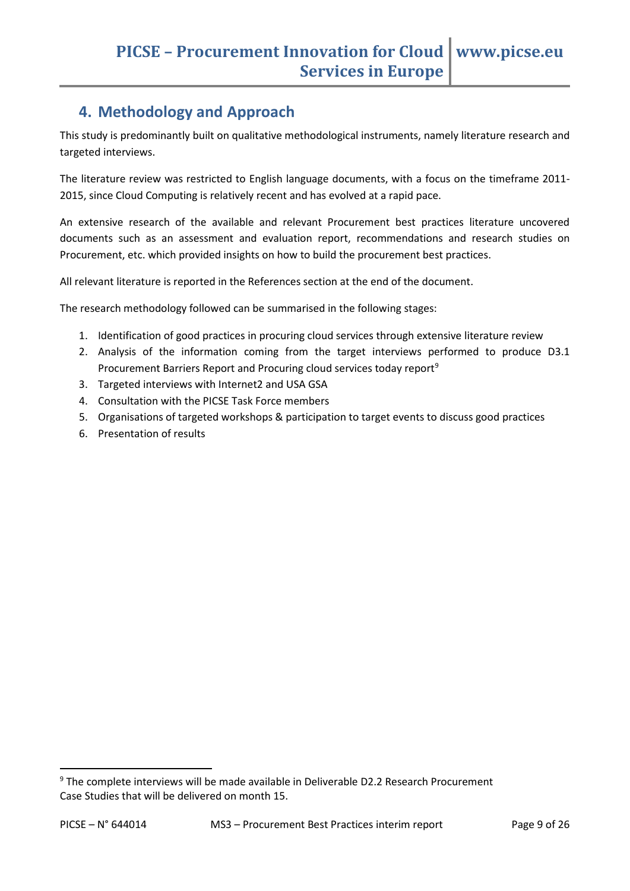# <span id="page-8-0"></span>**4. Methodology and Approach**

This study is predominantly built on qualitative methodological instruments, namely literature research and targeted interviews.

The literature review was restricted to English language documents, with a focus on the timeframe 2011- 2015, since Cloud Computing is relatively recent and has evolved at a rapid pace.

An extensive research of the available and relevant Procurement best practices literature uncovered documents such as an assessment and evaluation report, recommendations and research studies on Procurement, etc. which provided insights on how to build the procurement best practices.

All relevant literature is reported in the References section at the end of the document.

The research methodology followed can be summarised in the following stages:

- 1. Identification of good practices in procuring cloud services through extensive literature review
- 2. Analysis of the information coming from the target interviews performed to produce D3.1 Procurement Barriers Report and Procuring cloud services today report<sup>[9](#page-8-1)</sup>
- 3. Targeted interviews with Internet2 and USA GSA
- 4. Consultation with the PICSE Task Force members
- 5. Organisations of targeted workshops & participation to target events to discuss good practices
- 6. Presentation of results

<span id="page-8-1"></span> <sup>9</sup> The complete interviews will be made available in Deliverable D2.2 Research Procurement Case Studies that will be delivered on month 15.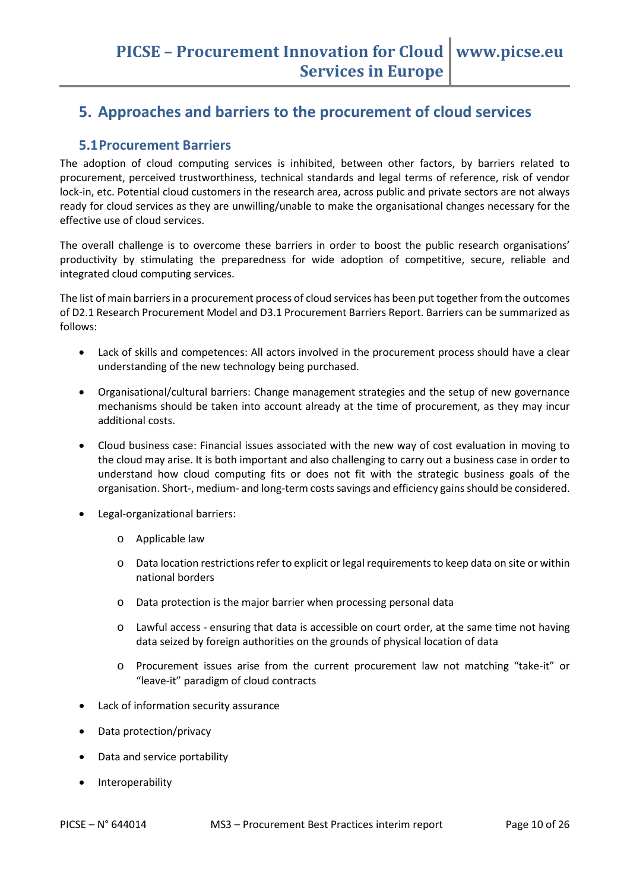## <span id="page-9-0"></span>**5. Approaches and barriers to the procurement of cloud services**

## <span id="page-9-1"></span>**5.1Procurement Barriers**

The adoption of cloud computing services is inhibited, between other factors, by barriers related to procurement, perceived trustworthiness, technical standards and legal terms of reference, risk of vendor lock-in, etc. Potential cloud customers in the research area, across public and private sectors are not always ready for cloud services as they are unwilling/unable to make the organisational changes necessary for the effective use of cloud services.

The overall challenge is to overcome these barriers in order to boost the public research organisations' productivity by stimulating the preparedness for wide adoption of competitive, secure, reliable and integrated cloud computing services.

The list of main barriers in a procurement process of cloud services has been put together from the outcomes of D2.1 Research Procurement Model and D3.1 Procurement Barriers Report. Barriers can be summarized as follows:

- Lack of skills and competences: All actors involved in the procurement process should have a clear understanding of the new technology being purchased.
- Organisational/cultural barriers: Change management strategies and the setup of new governance mechanisms should be taken into account already at the time of procurement, as they may incur additional costs.
- Cloud business case: Financial issues associated with the new way of cost evaluation in moving to the cloud may arise. It is both important and also challenging to carry out a business case in order to understand how cloud computing fits or does not fit with the strategic business goals of the organisation. Short-, medium- and long-term costs savings and efficiency gains should be considered.
- Legal-organizational barriers:
	- o Applicable law
	- o Data location restrictions refer to explicit or legal requirements to keep data on site or within national borders
	- o Data protection is the major barrier when processing personal data
	- o Lawful access ensuring that data is accessible on court order, at the same time not having data seized by foreign authorities on the grounds of physical location of data
	- o Procurement issues arise from the current procurement law not matching "take-it" or "leave-it" paradigm of cloud contracts
- Lack of information security assurance
- Data protection/privacy
- Data and service portability
- **Interoperability**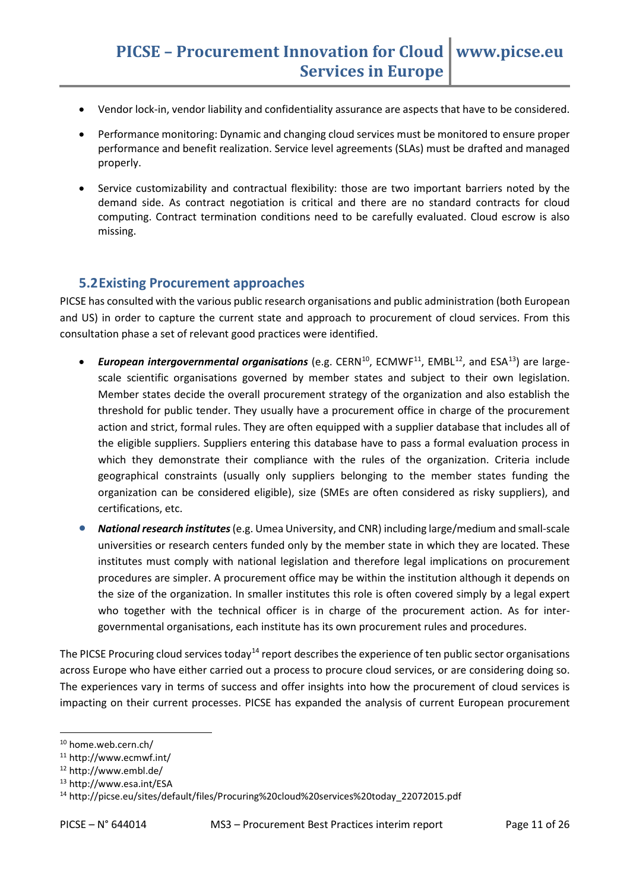- Vendor lock-in, vendor liability and confidentiality assurance are aspects that have to be considered.
- Performance monitoring: Dynamic and changing cloud services must be monitored to ensure proper performance and benefit realization. Service level agreements (SLAs) must be drafted and managed properly.
- Service customizability and contractual flexibility: those are two important barriers noted by the demand side. As contract negotiation is critical and there are no standard contracts for cloud computing. Contract termination conditions need to be carefully evaluated. Cloud escrow is also missing.

## <span id="page-10-0"></span>**5.2Existing Procurement approaches**

PICSE has consulted with the various public research organisations and public administration (both European and US) in order to capture the current state and approach to procurement of cloud services. From this consultation phase a set of relevant good practices were identified.

- *European intergovernmental organisations* (e.g. CERN<sup>[10](#page-10-1)</sup>, ECMWF<sup>[11](#page-10-2)</sup>, EMBL<sup>[12](#page-10-3)</sup>, and ESA<sup>13</sup>) are largescale scientific organisations governed by member states and subject to their own legislation. Member states decide the overall procurement strategy of the organization and also establish the threshold for public tender. They usually have a procurement office in charge of the procurement action and strict, formal rules. They are often equipped with a supplier database that includes all of the eligible suppliers. Suppliers entering this database have to pass a formal evaluation process in which they demonstrate their compliance with the rules of the organization. Criteria include geographical constraints (usually only suppliers belonging to the member states funding the organization can be considered eligible), size (SMEs are often considered as risky suppliers), and certifications, etc.
- *National research institutes* (e.g. Umea University, and CNR) including large/medium and small-scale universities or research centers funded only by the member state in which they are located. These institutes must comply with national legislation and therefore legal implications on procurement procedures are simpler. A procurement office may be within the institution although it depends on the size of the organization. In smaller institutes this role is often covered simply by a legal expert who together with the technical officer is in charge of the procurement action. As for intergovernmental organisations, each institute has its own procurement rules and procedures.

The PICSE Procuring cloud services today<sup>[14](#page-10-5)</sup> report describes the experience of ten public sector organisations across Europe who have either carried out a process to procure cloud services, or are considering doing so. The experiences vary in terms of success and offer insights into how the procurement of cloud services is impacting on their current processes. PICSE has expanded the analysis of current European procurement

<span id="page-10-1"></span> <sup>10</sup> home.web.cern.ch/

<span id="page-10-2"></span><sup>11</sup> http://www.ecmwf.int/

<span id="page-10-3"></span><sup>12</sup> http://www.embl.de/

<span id="page-10-4"></span><sup>13</sup> http://www.esa.int/ESA

<span id="page-10-5"></span><sup>14</sup> http://picse.eu/sites/default/files/Procuring%20cloud%20services%20today\_22072015.pdf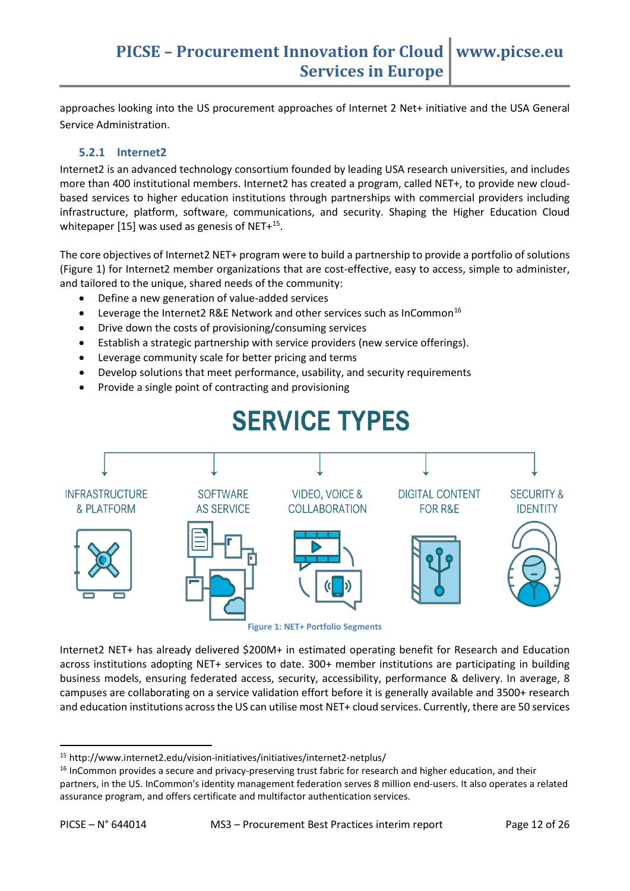approaches looking into the US procurement approaches of Internet 2 Net+ initiative and the USA General Service Administration.

### **5.2.1 Internet2**

<span id="page-11-0"></span>Internet2 is an advanced technology consortium founded by leading USA research universities, and includes more than 400 institutional members. Internet2 has created a program, called NET+, to provide new cloudbased services to higher education institutions through partnerships with commercial providers including infrastructure, platform, software, communications, and security. Shaping the Higher Education Cloud whitepaper [15] was used as genesis of NET+<sup>15</sup>.

The core objectives of Internet2 NET+ program were to build a partnership to provide a portfolio of solutions (Figure 1) for Internet2 member organizations that are cost-effective, easy to access, simple to administer, and tailored to the unique, shared needs of the community:

- Define a new generation of value-added services
- Leverage the Internet2 R&E Network and other services such as InCommon<sup>[16](#page-11-2)</sup>
- Drive down the costs of provisioning/consuming services
- Establish a strategic partnership with service providers (new service offerings).
- Leverage community scale for better pricing and terms
- Develop solutions that meet performance, usability, and security requirements
- Provide a single point of contracting and provisioning



### Internet2 NET+ has already delivered \$200M+ in estimated operating benefit for Research and Education across institutions adopting NET+ services to date. 300+ member institutions are participating in building business models, ensuring federated access, security, accessibility, performance & delivery. In average, 8 campuses are collaborating on a service validation effort before it is generally available and 3500+ research and education institutions across the US can utilise most NET+ cloud services. Currently, there are 50 services

<span id="page-11-1"></span> <sup>15</sup> http://www.internet2.edu/vision-initiatives/initiatives/internet2-netplus/

<span id="page-11-2"></span><sup>&</sup>lt;sup>16</sup> InCommon provides a secure and privacy-preserving trust fabric for research and higher education, and their

partners, in the US. InCommon's identity management federation serves 8 million end-users. It also operates a related assurance program, and offers certificate and multifactor authentication services.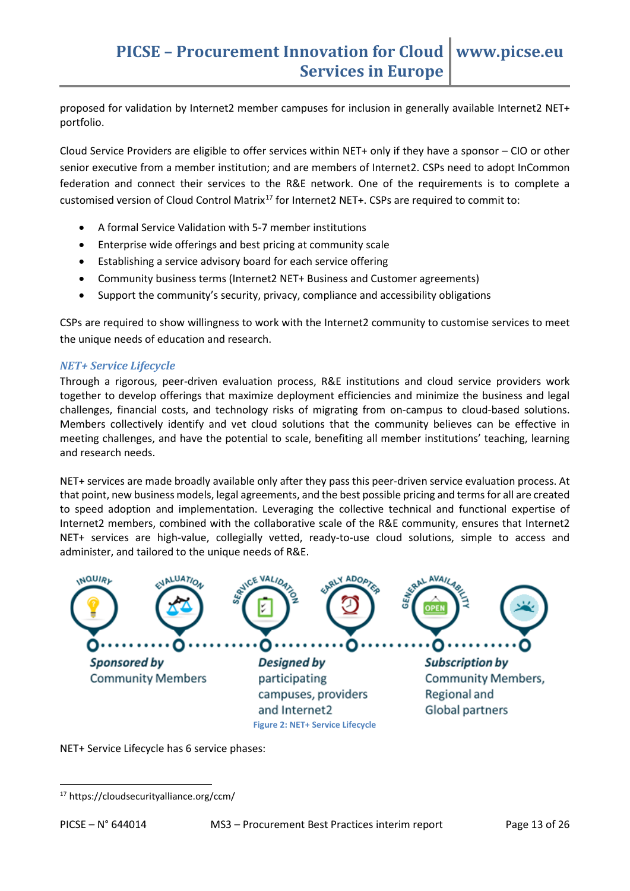proposed for validation by Internet2 member campuses for inclusion in generally available Internet2 NET+ portfolio.

Cloud Service Providers are eligible to offer services within NET+ only if they have a sponsor – CIO or other senior executive from a member institution; and are members of Internet2. CSPs need to adopt InCommon federation and connect their services to the R&E network. One of the requirements is to complete a customised version of Cloud Control Matrix<sup>[17](#page-12-0)</sup> for Internet2 NET+. CSPs are required to commit to:

- A formal Service Validation with 5-7 member institutions
- Enterprise wide offerings and best pricing at community scale
- Establishing a service advisory board for each service offering
- Community business terms (Internet2 NET+ Business and Customer agreements)
- Support the community's security, privacy, compliance and accessibility obligations

CSPs are required to show willingness to work with the Internet2 community to customise services to meet the unique needs of education and research.

### *NET+ Service Lifecycle*

Through a rigorous, peer-driven evaluation process, R&E institutions and cloud service providers work together to develop offerings that maximize deployment efficiencies and minimize the business and legal challenges, financial costs, and technology risks of migrating from on-campus to cloud-based solutions. Members collectively identify and vet cloud solutions that the community believes can be effective in meeting challenges, and have the potential to scale, benefiting all member institutions' teaching, learning and research needs.

NET+ services are made broadly available only after they pass this peer-driven service evaluation process. At that point, new business models, legal agreements, and the best possible pricing and terms for all are created to speed adoption and implementation. Leveraging the collective technical and functional expertise of Internet2 members, combined with the collaborative scale of the R&E community, ensures that Internet2 NET+ services are high-value, collegially vetted, ready-to-use cloud solutions, simple to access and administer, and tailored to the unique needs of R&E.



**Figure 2: NET+ Service Lifecycle**

and Internet2

NET+ Service Lifecycle has 6 service phases:

Global partners

<span id="page-12-0"></span> <sup>17</sup> https://cloudsecurityalliance.org/ccm/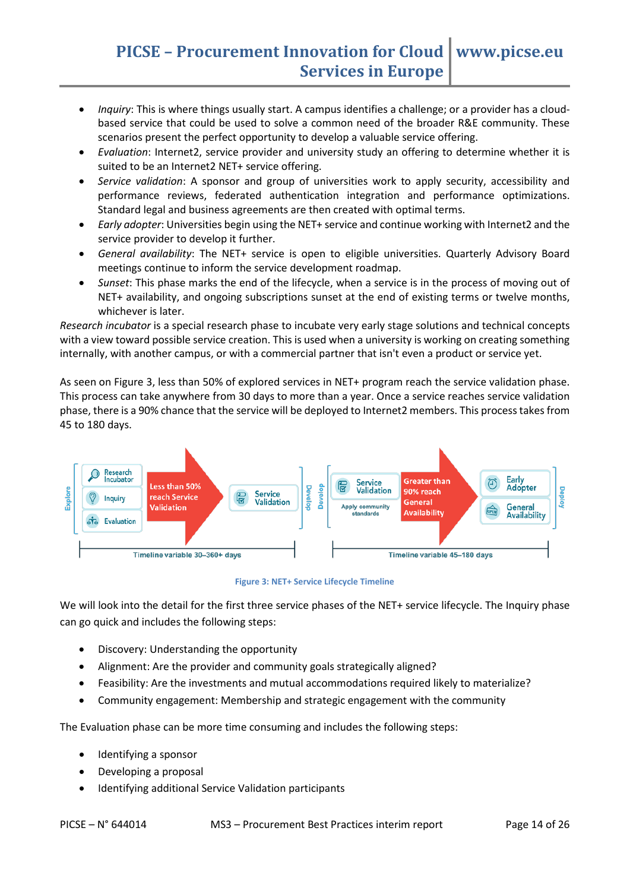- *Inquiry*: This is where things usually start. A campus identifies a challenge; or a provider has a cloudbased service that could be used to solve a common need of the broader R&E community. These scenarios present the perfect opportunity to develop a valuable service offering.
- *Evaluation*: Internet2, service provider and university study an offering to determine whether it is suited to be an Internet2 NET+ service offering.
- *Service validation*: A sponsor and group of universities work to apply security, accessibility and performance reviews, federated authentication integration and performance optimizations. Standard legal and business agreements are then created with optimal terms.
- *Early adopter*: Universities begin using the NET+ service and continue working with Internet2 and the service provider to develop it further.
- *General availability*: The NET+ service is open to eligible universities. Quarterly Advisory Board meetings continue to inform the service development roadmap.
- *Sunset*: This phase marks the end of the lifecycle, when a service is in the process of moving out of NET+ availability, and ongoing subscriptions sunset at the end of existing terms or twelve months, whichever is later.

*Research incubator* is a special research phase to incubate very early stage solutions and technical concepts with a view toward possible service creation. This is used when a university is working on creating something internally, with another campus, or with a commercial partner that isn't even a product or service yet.

As seen on Figure 3, less than 50% of explored services in NET+ program reach the service validation phase. This process can take anywhere from 30 days to more than a year. Once a service reaches service validation phase, there is a 90% chance that the service will be deployed to Internet2 members. This process takes from 45 to 180 days.



#### **Figure 3: NET+ Service Lifecycle Timeline**

We will look into the detail for the first three service phases of the NET+ service lifecycle. The Inquiry phase can go quick and includes the following steps:

- Discovery: Understanding the opportunity
- Alignment: Are the provider and community goals strategically aligned?
- Feasibility: Are the investments and mutual accommodations required likely to materialize?
- Community engagement: Membership and strategic engagement with the community

The Evaluation phase can be more time consuming and includes the following steps:

- Identifying a sponsor
- Developing a proposal
- Identifying additional Service Validation participants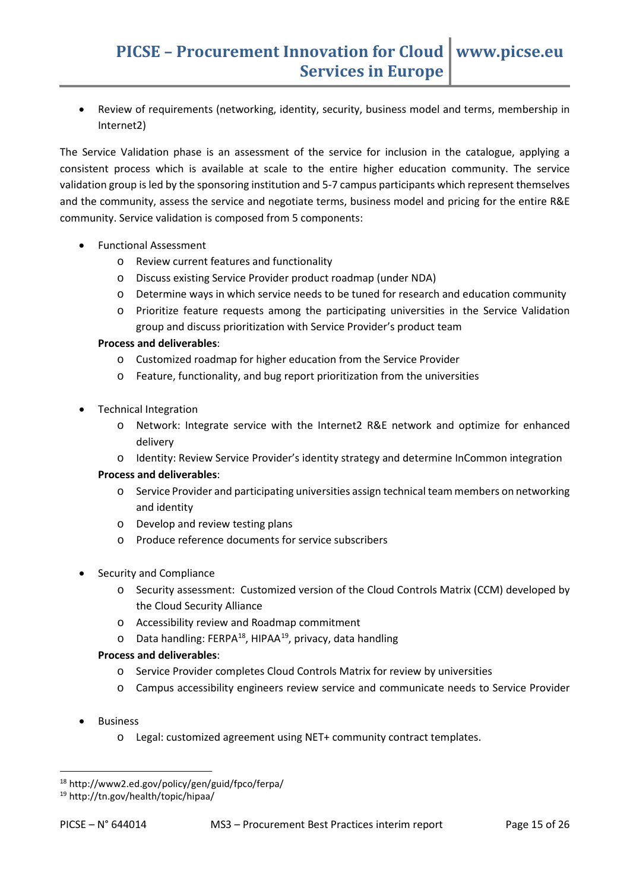• Review of requirements (networking, identity, security, business model and terms, membership in Internet2)

The Service Validation phase is an assessment of the service for inclusion in the catalogue, applying a consistent process which is available at scale to the entire higher education community. The service validation group is led by the sponsoring institution and 5-7 campus participants which represent themselves and the community, assess the service and negotiate terms, business model and pricing for the entire R&E community. Service validation is composed from 5 components:

- Functional Assessment
	- o Review current features and functionality
	- o Discuss existing Service Provider product roadmap (under NDA)
	- o Determine ways in which service needs to be tuned for research and education community
	- o Prioritize feature requests among the participating universities in the Service Validation group and discuss prioritization with Service Provider's product team

#### **Process and deliverables**:

- o Customized roadmap for higher education from the Service Provider
- o Feature, functionality, and bug report prioritization from the universities
- Technical Integration
	- o Network: Integrate service with the Internet2 R&E network and optimize for enhanced delivery
	- o Identity: Review Service Provider's identity strategy and determine InCommon integration

#### **Process and deliverables**:

- o Service Provider and participating universities assign technical team members on networking and identity
- o Develop and review testing plans
- o Produce reference documents for service subscribers
- Security and Compliance
	- o Security assessment: Customized version of the Cloud Controls Matrix (CCM) developed by the Cloud Security Alliance
	- o Accessibility review and Roadmap commitment
	- $\circ$  Data handling: FERPA<sup>[18](#page-14-0)</sup>, HIPAA<sup>19</sup>, privacy, data handling

#### **Process and deliverables**:

- o Service Provider completes Cloud Controls Matrix for review by universities
- o Campus accessibility engineers review service and communicate needs to Service Provider
- Business
	- o Legal: customized agreement using NET+ community contract templates.

<span id="page-14-0"></span> <sup>18</sup> http://www2.ed.gov/policy/gen/guid/fpco/ferpa/

<span id="page-14-1"></span><sup>19</sup> http://tn.gov/health/topic/hipaa/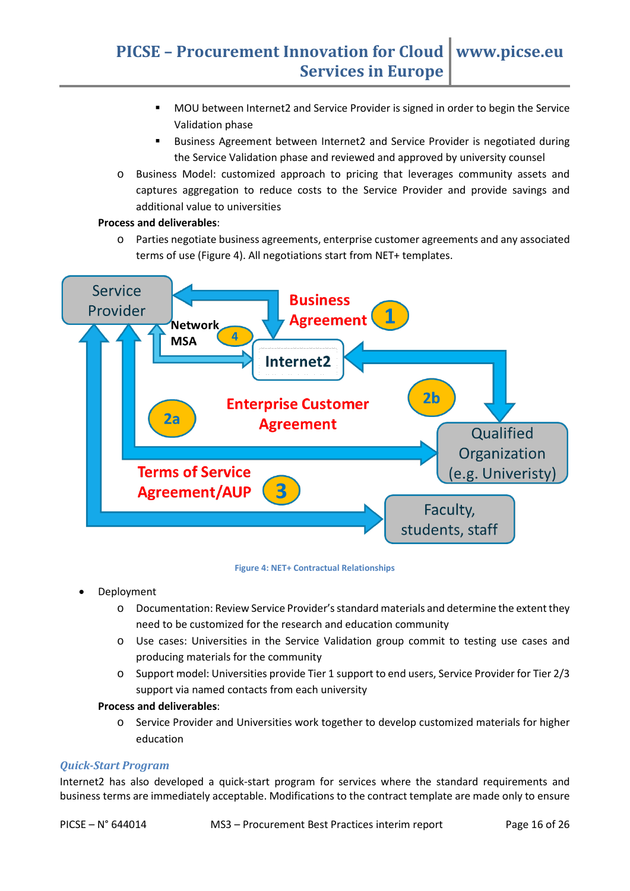- **MOU** between Internet2 and Service Provider is signed in order to begin the Service Validation phase
- **Business Agreement between Internet2 and Service Provider is negotiated during** the Service Validation phase and reviewed and approved by university counsel
- o Business Model: customized approach to pricing that leverages community assets and captures aggregation to reduce costs to the Service Provider and provide savings and additional value to universities

#### **Process and deliverables**:

o Parties negotiate business agreements, enterprise customer agreements and any associated terms of use (Figure 4). All negotiations start from NET+ templates.



#### **Figure 4: NET+ Contractual Relationships**

- **Deployment** 
	- o Documentation: Review Service Provider's standard materials and determine the extent they need to be customized for the research and education community
	- o Use cases: Universities in the Service Validation group commit to testing use cases and producing materials for the community
	- o Support model: Universities provide Tier 1 support to end users, Service Provider for Tier 2/3 support via named contacts from each university

#### **Process and deliverables**:

o Service Provider and Universities work together to develop customized materials for higher education

#### *Quick-Start Program*

Internet2 has also developed a quick-start program for services where the standard requirements and business terms are immediately acceptable. Modifications to the contract template are made only to ensure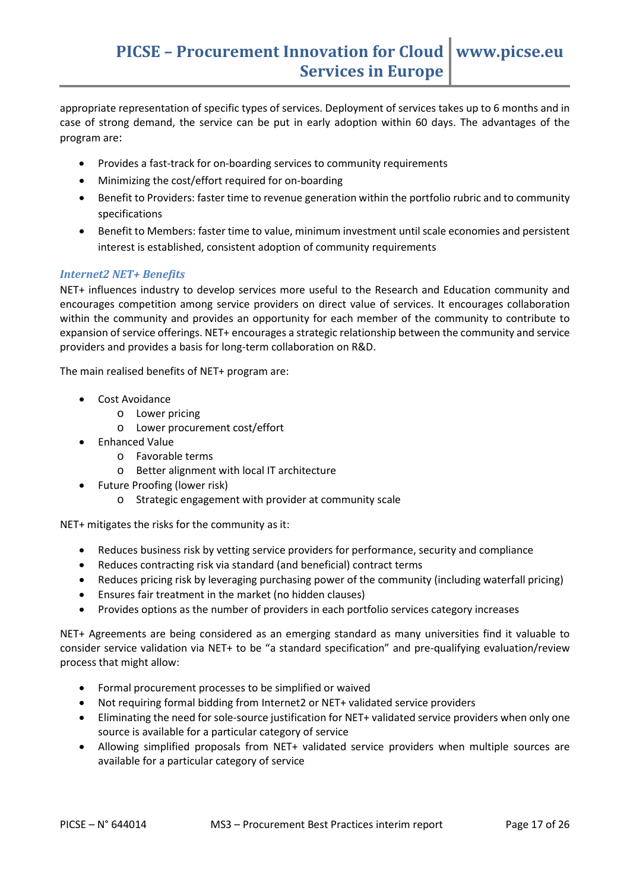appropriate representation of specific types of services. Deployment of services takes up to 6 months and in case of strong demand, the service can be put in early adoption within 60 days. The advantages of the program are:

- Provides a fast-track for on-boarding services to community requirements
- Minimizing the cost/effort required for on-boarding
- Benefit to Providers: faster time to revenue generation within the portfolio rubric and to community specifications
- Benefit to Members: faster time to value, minimum investment until scale economies and persistent interest is established, consistent adoption of community requirements

### *Internet2 NET+ Benefits*

NET+ influences industry to develop services more useful to the Research and Education community and encourages competition among service providers on direct value of services. It encourages collaboration within the community and provides an opportunity for each member of the community to contribute to expansion of service offerings. NET+ encourages a strategic relationship between the community and service providers and provides a basis for long-term collaboration on R&D.

The main realised benefits of NET+ program are:

- Cost Avoidance
	- o Lower pricing
	- o Lower procurement cost/effort
- Enhanced Value
	- o Favorable terms
	- o Better alignment with local IT architecture
- Future Proofing (lower risk)
	- o Strategic engagement with provider at community scale

NET+ mitigates the risks for the community as it:

- Reduces business risk by vetting service providers for performance, security and compliance
- Reduces contracting risk via standard (and beneficial) contract terms
- Reduces pricing risk by leveraging purchasing power of the community (including waterfall pricing)
- Ensures fair treatment in the market (no hidden clauses)
- Provides options as the number of providers in each portfolio services category increases

NET+ Agreements are being considered as an emerging standard as many universities find it valuable to consider service validation via NET+ to be "a standard specification" and pre-qualifying evaluation/review process that might allow:

- Formal procurement processes to be simplified or waived
- Not requiring formal bidding from Internet2 or NET+ validated service providers
- Eliminating the need for sole-source justification for NET+ validated service providers when only one source is available for a particular category of service
- Allowing simplified proposals from NET+ validated service providers when multiple sources are available for a particular category of service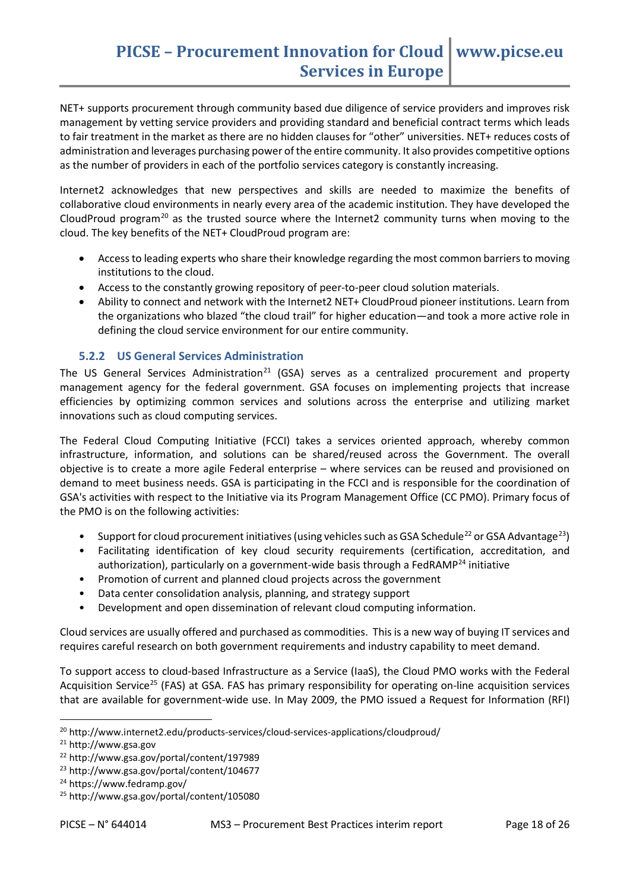NET+ supports procurement through community based due diligence of service providers and improves risk management by vetting service providers and providing standard and beneficial contract terms which leads to fair treatment in the market as there are no hidden clauses for "other" universities. NET+ reduces costs of administration and leverages purchasing power of the entire community. It also provides competitive options as the number of providers in each of the portfolio services category is constantly increasing.

Internet2 acknowledges that new perspectives and skills are needed to maximize the benefits of collaborative cloud environments in nearly every area of the academic institution. They have developed the CloudProud program<sup>[20](#page-17-1)</sup> as the trusted source where the Internet2 community turns when moving to the cloud. The key benefits of the NET+ CloudProud program are:

- Access to leading experts who share their knowledge regarding the most common barriers to moving institutions to the cloud.
- Access to the constantly growing repository of peer-to-peer cloud solution materials.
- Ability to connect and network with the Internet2 NET+ CloudProud pioneer institutions. Learn from the organizations who blazed "the cloud trail" for higher education—and took a more active role in defining the cloud service environment for our entire community.

### **5.2.2 US General Services Administration**

<span id="page-17-0"></span>The US General Services Administration<sup>[21](#page-17-2)</sup> (GSA) serves as a centralized procurement and property management agency for the federal government. GSA focuses on implementing projects that increase efficiencies by optimizing common services and solutions across the enterprise and utilizing market innovations such as cloud computing services.

The Federal Cloud Computing Initiative (FCCI) takes a services oriented approach, whereby common infrastructure, information, and solutions can be shared/reused across the Government. The overall objective is to create a more agile Federal enterprise – where services can be reused and provisioned on demand to meet business needs. GSA is participating in the FCCI and is responsible for the coordination of GSA's activities with respect to the Initiative via its Program Management Office (CC PMO). Primary focus of the PMO is on the following activities:

- Support for cloud procurement initiatives (using vehicles such as GSA Schedule<sup>[22](#page-17-3)</sup> or GSA Advantage<sup>[23](#page-17-4)</sup>)
- Facilitating identification of key cloud security requirements (certification, accreditation, and authorization), particularly on a government-wide basis through a FedRAMP<sup>[24](#page-17-5)</sup> initiative
- Promotion of current and planned cloud projects across the government
- Data center consolidation analysis, planning, and strategy support
- Development and open dissemination of relevant cloud computing information.

Cloud services are usually offered and purchased as commodities. This is a new way of buying IT services and requires careful research on both government requirements and industry capability to meet demand.

To support access to cloud-based Infrastructure as a Service (IaaS), the Cloud PMO works with the Federal Acquisition Service<sup>[25](#page-17-6)</sup> (FAS) at GSA. FAS has primary responsibility for operating on-line acquisition services that are available for government-wide use. In May 2009, the PMO issued a Request for Information (RFI)

<span id="page-17-1"></span><sup>&</sup>lt;sup>20</sup> http://www.internet2.edu/products-services/cloud-services-applications/cloudproud/

<span id="page-17-2"></span><sup>21</sup> http://www.gsa.gov

<span id="page-17-3"></span><sup>22</sup> http://www.gsa.gov/portal/content/197989

<span id="page-17-4"></span><sup>23</sup> http://www.gsa.gov/portal/content/104677

<span id="page-17-5"></span><sup>24</sup> https://www.fedramp.gov/

<span id="page-17-6"></span><sup>25</sup> http://www.gsa.gov/portal/content/105080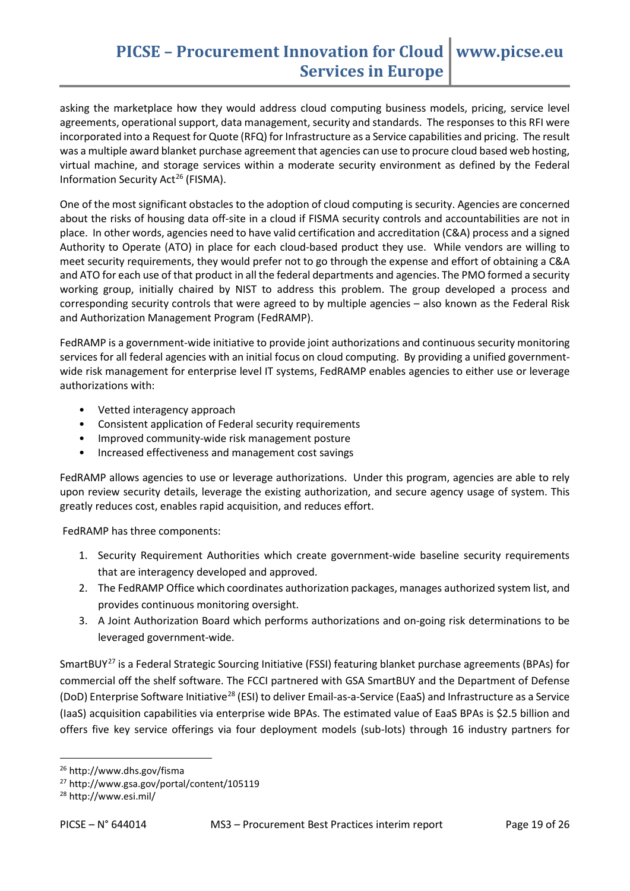# **PICSE – Procurement Innovation for Cloud www.picse.eu Services in Europe**

asking the marketplace how they would address cloud computing business models, pricing, service level agreements, operational support, data management, security and standards. The responses to this RFI were incorporated into a Request for Quote (RFQ) for Infrastructure as a Service capabilities and pricing. The result was a multiple award blanket purchase agreement that agencies can use to procure cloud based web hosting, virtual machine, and storage services within a moderate security environment as defined by the Federal Information Security Act<sup>[26](#page-18-0)</sup> (FISMA).

One of the most significant obstacles to the adoption of cloud computing is security. Agencies are concerned about the risks of housing data off-site in a cloud if FISMA security controls and accountabilities are not in place. In other words, agencies need to have valid certification and accreditation (C&A) process and a signed Authority to Operate (ATO) in place for each cloud-based product they use. While vendors are willing to meet security requirements, they would prefer not to go through the expense and effort of obtaining a C&A and ATO for each use of that product in all the federal departments and agencies. The PMO formed a security working group, initially chaired by NIST to address this problem. The group developed a process and corresponding security controls that were agreed to by multiple agencies – also known as the Federal Risk and Authorization Management Program (FedRAMP).

FedRAMP is a government-wide initiative to provide joint authorizations and continuous security monitoring services for all federal agencies with an initial focus on cloud computing. By providing a unified governmentwide risk management for enterprise level IT systems, FedRAMP enables agencies to either use or leverage authorizations with:

- Vetted interagency approach
- Consistent application of Federal security requirements
- Improved community-wide risk management posture
- Increased effectiveness and management cost savings

FedRAMP allows agencies to use or leverage authorizations. Under this program, agencies are able to rely upon review security details, leverage the existing authorization, and secure agency usage of system. This greatly reduces cost, enables rapid acquisition, and reduces effort.

FedRAMP has three components:

- 1. Security Requirement Authorities which create government-wide baseline security requirements that are interagency developed and approved.
- 2. The FedRAMP Office which coordinates authorization packages, manages authorized system list, and provides continuous monitoring oversight.
- 3. A Joint Authorization Board which performs authorizations and on-going risk determinations to be leveraged government-wide.

SmartBUY<sup>[27](#page-18-1)</sup> is a Federal Strategic Sourcing Initiative (FSSI) featuring blanket purchase agreements (BPAs) for commercial off the shelf software. The FCCI partnered with GSA SmartBUY and the Department of Defense (DoD) Enterprise Software Initiative[28](#page-18-2) (ESI) to deliver Email-as-a-Service (EaaS) and Infrastructure as a Service (IaaS) acquisition capabilities via enterprise wide BPAs. The estimated value of EaaS BPAs is \$2.5 billion and offers five key service offerings via four deployment models (sub-lots) through 16 industry partners for

<span id="page-18-0"></span> <sup>26</sup> http://www.dhs.gov/fisma

<span id="page-18-1"></span><sup>27</sup> http://www.gsa.gov/portal/content/105119

<span id="page-18-2"></span><sup>28</sup> http://www.esi.mil/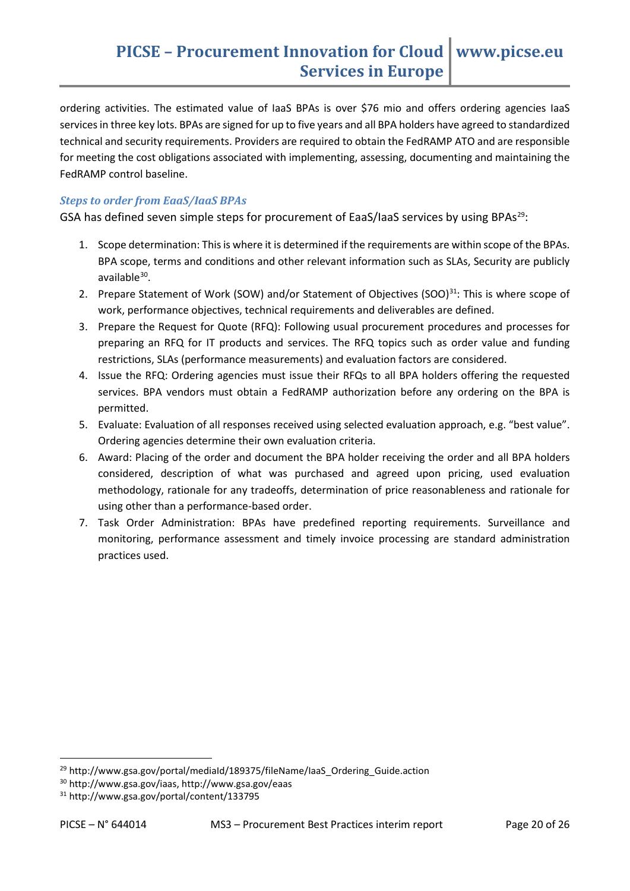ordering activities. The estimated value of IaaS BPAs is over \$76 mio and offers ordering agencies IaaS services in three key lots. BPAs are signed for up to five years and all BPA holders have agreed to standardized technical and security requirements. Providers are required to obtain the FedRAMP ATO and are responsible for meeting the cost obligations associated with implementing, assessing, documenting and maintaining the FedRAMP control baseline.

### *Steps to order from EaaS/IaaS BPAs*

GSA has defined seven simple steps for procurement of EaaS/IaaS services by using BPAs<sup>[29](#page-19-0)</sup>:

- 1. Scope determination: This is where it is determined if the requirements are within scope of the BPAs. BPA scope, terms and conditions and other relevant information such as SLAs, Security are publicly available<sup>30</sup>.
- 2. Prepare Statement of Work (SOW) and/or Statement of Objectives (SOO) $^{31}$ : This is where scope of work, performance objectives, technical requirements and deliverables are defined.
- 3. Prepare the Request for Quote (RFQ): Following usual procurement procedures and processes for preparing an RFQ for IT products and services. The RFQ topics such as order value and funding restrictions, SLAs (performance measurements) and evaluation factors are considered.
- 4. Issue the RFQ: Ordering agencies must issue their RFQs to all BPA holders offering the requested services. BPA vendors must obtain a FedRAMP authorization before any ordering on the BPA is permitted.
- 5. Evaluate: Evaluation of all responses received using selected evaluation approach, e.g. "best value". Ordering agencies determine their own evaluation criteria.
- 6. Award: Placing of the order and document the BPA holder receiving the order and all BPA holders considered, description of what was purchased and agreed upon pricing, used evaluation methodology, rationale for any tradeoffs, determination of price reasonableness and rationale for using other than a performance-based order.
- 7. Task Order Administration: BPAs have predefined reporting requirements. Surveillance and monitoring, performance assessment and timely invoice processing are standard administration practices used.

<span id="page-19-0"></span><sup>&</sup>lt;sup>29</sup> http://www.gsa.gov/portal/mediaId/189375/fileName/IaaS\_Ordering\_Guide.action

<span id="page-19-1"></span><sup>30</sup> http://www.gsa.gov/iaas, http://www.gsa.gov/eaas

<span id="page-19-2"></span><sup>31</sup> http://www.gsa.gov/portal/content/133795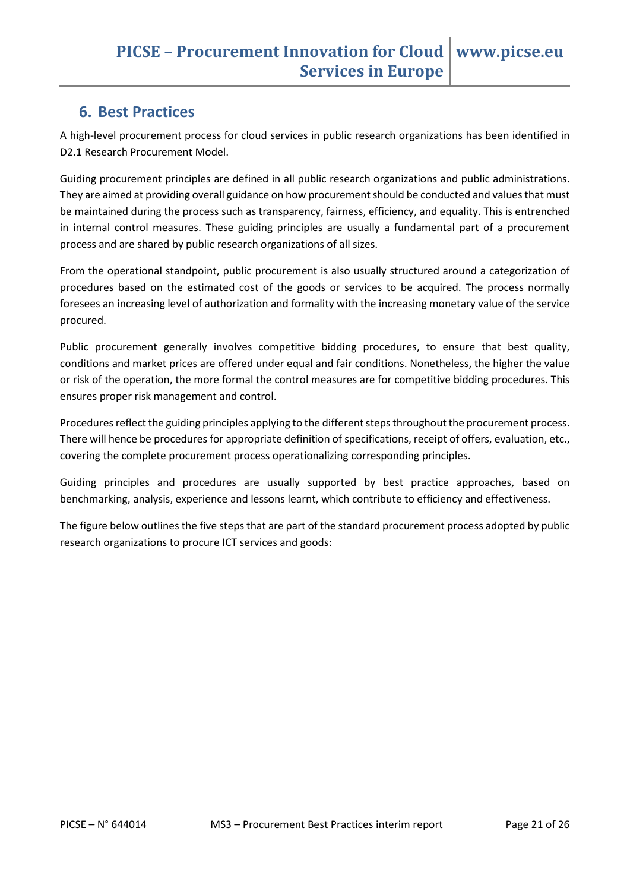# <span id="page-20-0"></span>**6. Best Practices**

A high-level procurement process for cloud services in public research organizations has been identified in D2.1 Research Procurement Model.

Guiding procurement principles are defined in all public research organizations and public administrations. They are aimed at providing overall guidance on how procurement should be conducted and values that must be maintained during the process such as transparency, fairness, efficiency, and equality. This is entrenched in internal control measures. These guiding principles are usually a fundamental part of a procurement process and are shared by public research organizations of all sizes.

From the operational standpoint, public procurement is also usually structured around a categorization of procedures based on the estimated cost of the goods or services to be acquired. The process normally foresees an increasing level of authorization and formality with the increasing monetary value of the service procured.

Public procurement generally involves competitive bidding procedures, to ensure that best quality, conditions and market prices are offered under equal and fair conditions. Nonetheless, the higher the value or risk of the operation, the more formal the control measures are for competitive bidding procedures. This ensures proper risk management and control.

Procedures reflect the guiding principles applying to the different steps throughout the procurement process. There will hence be procedures for appropriate definition of specifications, receipt of offers, evaluation, etc., covering the complete procurement process operationalizing corresponding principles.

Guiding principles and procedures are usually supported by best practice approaches, based on benchmarking, analysis, experience and lessons learnt, which contribute to efficiency and effectiveness.

The figure below outlines the five steps that are part of the standard procurement process adopted by public research organizations to procure ICT services and goods: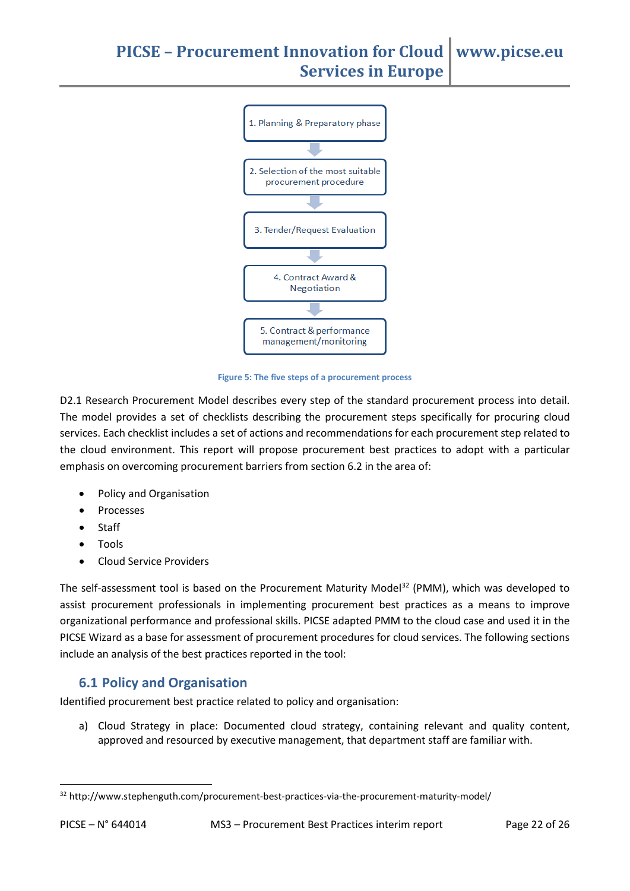

**Figure 5: The five steps of a procurement process**

D2.1 Research Procurement Model describes every step of the standard procurement process into detail. The model provides a set of checklists describing the procurement steps specifically for procuring cloud services. Each checklist includes a set of actions and recommendations for each procurement step related to the cloud environment. This report will propose procurement best practices to adopt with a particular emphasis on overcoming procurement barriers from section 6.2 in the area of:

- Policy and Organisation
- **Processes**
- Staff
- Tools
- Cloud Service Providers

The self-assessment tool is based on the Procurement Maturity Model<sup>[32](#page-21-1)</sup> (PMM), which was developed to assist procurement professionals in implementing procurement best practices as a means to improve organizational performance and professional skills. PICSE adapted PMM to the cloud case and used it in the PICSE Wizard as a base for assessment of procurement procedures for cloud services. The following sections include an analysis of the best practices reported in the tool:

## <span id="page-21-0"></span>**6.1 Policy and Organisation**

Identified procurement best practice related to policy and organisation:

a) Cloud Strategy in place: Documented cloud strategy, containing relevant and quality content, approved and resourced by executive management, that department staff are familiar with.

<span id="page-21-1"></span> <sup>32</sup> http://www.stephenguth.com/procurement-best-practices-via-the-procurement-maturity-model/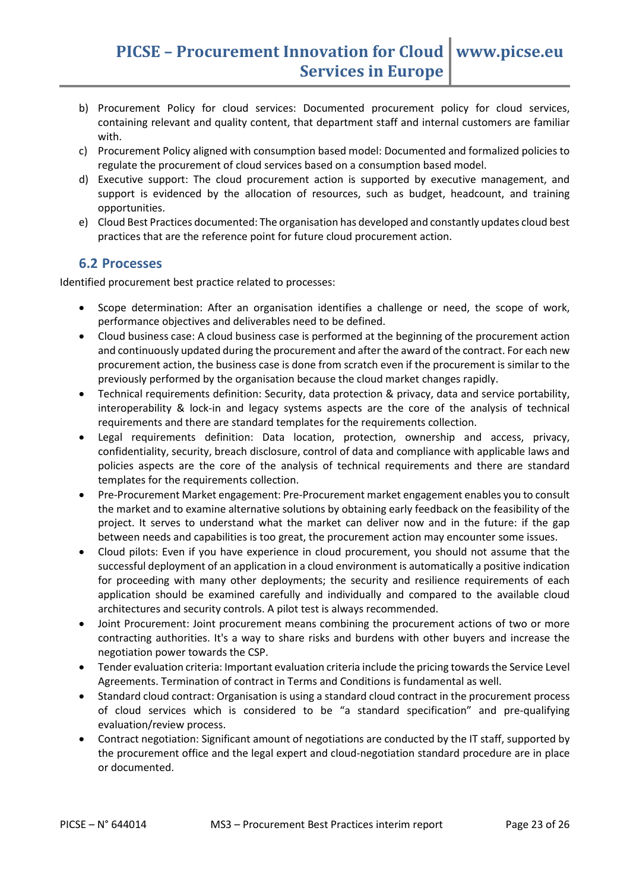- b) Procurement Policy for cloud services: Documented procurement policy for cloud services, containing relevant and quality content, that department staff and internal customers are familiar with.
- c) Procurement Policy aligned with consumption based model: Documented and formalized policies to regulate the procurement of cloud services based on a consumption based model.
- d) Executive support: The cloud procurement action is supported by executive management, and support is evidenced by the allocation of resources, such as budget, headcount, and training opportunities.
- e) Cloud Best Practices documented: The organisation has developed and constantly updates cloud best practices that are the reference point for future cloud procurement action.

## <span id="page-22-0"></span>**6.2 Processes**

Identified procurement best practice related to processes:

- Scope determination: After an organisation identifies a challenge or need, the scope of work, performance objectives and deliverables need to be defined.
- Cloud business case: A cloud business case is performed at the beginning of the procurement action and continuously updated during the procurement and after the award of the contract. For each new procurement action, the business case is done from scratch even if the procurement is similar to the previously performed by the organisation because the cloud market changes rapidly.
- Technical requirements definition: Security, data protection & privacy, data and service portability, interoperability & lock-in and legacy systems aspects are the core of the analysis of technical requirements and there are standard templates for the requirements collection.
- Legal requirements definition: Data location, protection, ownership and access, privacy, confidentiality, security, breach disclosure, control of data and compliance with applicable laws and policies aspects are the core of the analysis of technical requirements and there are standard templates for the requirements collection.
- Pre-Procurement Market engagement: Pre-Procurement market engagement enables you to consult the market and to examine alternative solutions by obtaining early feedback on the feasibility of the project. It serves to understand what the market can deliver now and in the future: if the gap between needs and capabilities is too great, the procurement action may encounter some issues.
- Cloud pilots: Even if you have experience in cloud procurement, you should not assume that the successful deployment of an application in a cloud environment is automatically a positive indication for proceeding with many other deployments; the security and resilience requirements of each application should be examined carefully and individually and compared to the available cloud architectures and security controls. A pilot test is always recommended.
- Joint Procurement: Joint procurement means combining the procurement actions of two or more contracting authorities. It's a way to share risks and burdens with other buyers and increase the negotiation power towards the CSP.
- Tender evaluation criteria: Important evaluation criteria include the pricing towards the Service Level Agreements. Termination of contract in Terms and Conditions is fundamental as well.
- Standard cloud contract: Organisation is using a standard cloud contract in the procurement process of cloud services which is considered to be "a standard specification" and pre-qualifying evaluation/review process.
- Contract negotiation: Significant amount of negotiations are conducted by the IT staff, supported by the procurement office and the legal expert and cloud-negotiation standard procedure are in place or documented.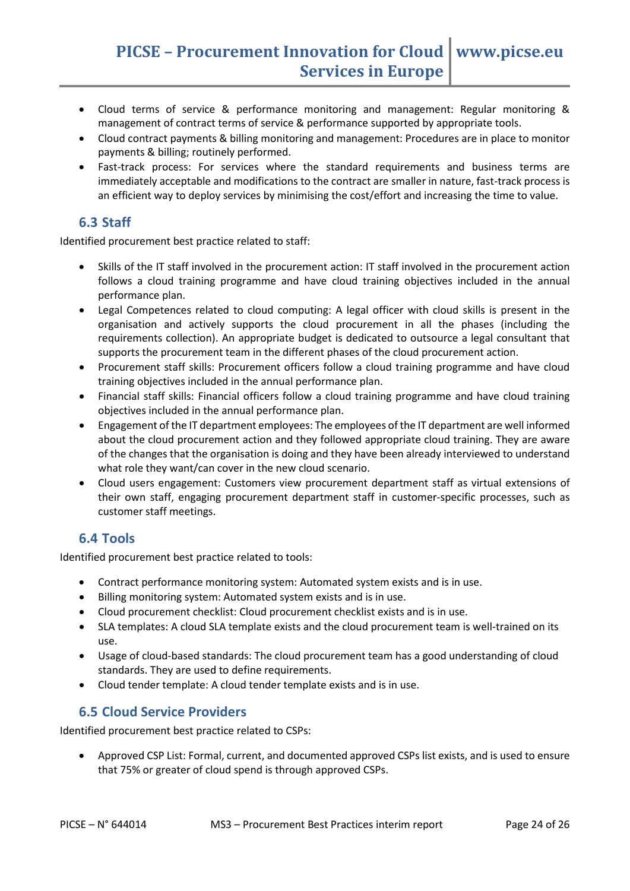- Cloud terms of service & performance monitoring and management: Regular monitoring & management of contract terms of service & performance supported by appropriate tools.
- Cloud contract payments & billing monitoring and management: Procedures are in place to monitor payments & billing; routinely performed.
- Fast-track process: For services where the standard requirements and business terms are immediately acceptable and modifications to the contract are smaller in nature, fast-track process is an efficient way to deploy services by minimising the cost/effort and increasing the time to value.

## <span id="page-23-0"></span>**6.3 Staff**

Identified procurement best practice related to staff:

- Skills of the IT staff involved in the procurement action: IT staff involved in the procurement action follows a cloud training programme and have cloud training objectives included in the annual performance plan.
- Legal Competences related to cloud computing: A legal officer with cloud skills is present in the organisation and actively supports the cloud procurement in all the phases (including the requirements collection). An appropriate budget is dedicated to outsource a legal consultant that supports the procurement team in the different phases of the cloud procurement action.
- Procurement staff skills: Procurement officers follow a cloud training programme and have cloud training objectives included in the annual performance plan.
- Financial staff skills: Financial officers follow a cloud training programme and have cloud training objectives included in the annual performance plan.
- Engagement of the IT department employees: The employees of the IT department are well informed about the cloud procurement action and they followed appropriate cloud training. They are aware of the changes that the organisation is doing and they have been already interviewed to understand what role they want/can cover in the new cloud scenario.
- Cloud users engagement: Customers view procurement department staff as virtual extensions of their own staff, engaging procurement department staff in customer-specific processes, such as customer staff meetings.

## <span id="page-23-1"></span>**6.4 Tools**

Identified procurement best practice related to tools:

- Contract performance monitoring system: Automated system exists and is in use.
- Billing monitoring system: Automated system exists and is in use.
- Cloud procurement checklist: Cloud procurement checklist exists and is in use.
- SLA templates: A cloud SLA template exists and the cloud procurement team is well-trained on its use.
- Usage of cloud-based standards: The cloud procurement team has a good understanding of cloud standards. They are used to define requirements.
- Cloud tender template: A cloud tender template exists and is in use.

## <span id="page-23-2"></span>**6.5 Cloud Service Providers**

Identified procurement best practice related to CSPs:

• Approved CSP List: Formal, current, and documented approved CSPs list exists, and is used to ensure that 75% or greater of cloud spend is through approved CSPs.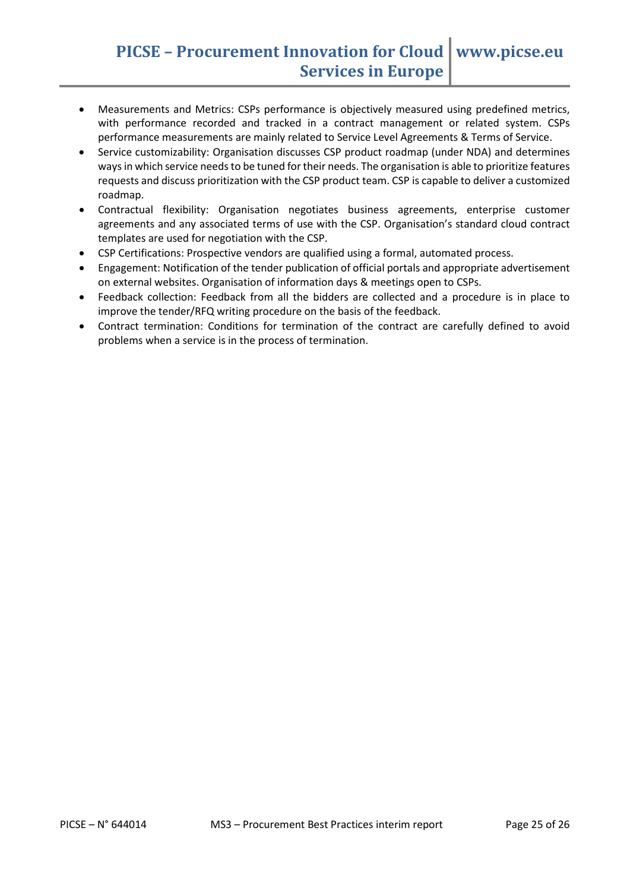- Measurements and Metrics: CSPs performance is objectively measured using predefined metrics, with performance recorded and tracked in a contract management or related system. CSPs performance measurements are mainly related to Service Level Agreements & Terms of Service.
- Service customizability: Organisation discusses CSP product roadmap (under NDA) and determines ways in which service needs to be tuned for their needs. The organisation is able to prioritize features requests and discuss prioritization with the CSP product team. CSP is capable to deliver a customized roadmap.
- Contractual flexibility: Organisation negotiates business agreements, enterprise customer agreements and any associated terms of use with the CSP. Organisation's standard cloud contract templates are used for negotiation with the CSP.
- CSP Certifications: Prospective vendors are qualified using a formal, automated process.
- Engagement: Notification of the tender publication of official portals and appropriate advertisement on external websites. Organisation of information days & meetings open to CSPs.
- Feedback collection: Feedback from all the bidders are collected and a procedure is in place to improve the tender/RFQ writing procedure on the basis of the feedback.
- Contract termination: Conditions for termination of the contract are carefully defined to avoid problems when a service is in the process of termination.